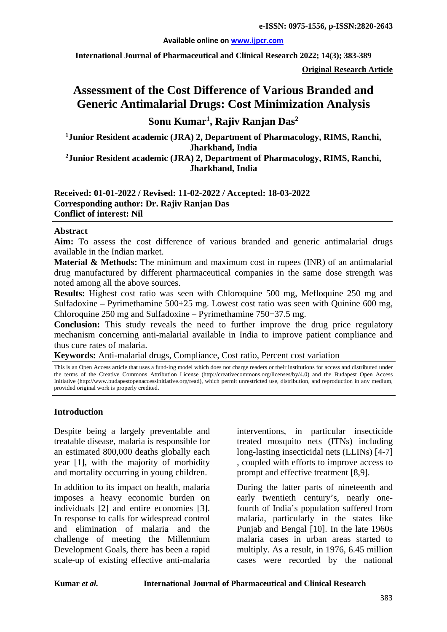#### **Available online on [www.ijpcr.com](http://www.ijpcr.com/)**

**International Journal of Pharmaceutical and Clinical Research 2022; 14(3); 383-389**

**Original Research Article**

# **Assessment of the Cost Difference of Various Branded and Generic Antimalarial Drugs: Cost Minimization Analysis**

## **Sonu Kumar1 , Rajiv Ranjan Das<sup>2</sup>**

**1Junior Resident academic (JRA) 2, Department of Pharmacology, RIMS, Ranchi, Jharkhand, India**

**2Junior Resident academic (JRA) 2, Department of Pharmacology, RIMS, Ranchi, Jharkhand, India**

#### **Received: 01-01-2022 / Revised: 11-02-2022 / Accepted: 18-03-2022 Corresponding author: Dr. Rajiv Ranjan Das Conflict of interest: Nil**

#### **Abstract**

Aim: To assess the cost difference of various branded and generic antimalarial drugs available in the Indian market.

**Material & Methods:** The minimum and maximum cost in rupees (INR) of an antimalarial drug manufactured by different pharmaceutical companies in the same dose strength was noted among all the above sources.

**Results:** Highest cost ratio was seen with Chloroquine 500 mg, Mefloquine 250 mg and Sulfadoxine – Pyrimethamine 500+25 mg. Lowest cost ratio was seen with Quinine 600 mg, Chloroquine 250 mg and Sulfadoxine – Pyrimethamine 750+37.5 mg.

**Conclusion:** This study reveals the need to further improve the drug price regulatory mechanism concerning anti-malarial available in India to improve patient compliance and thus cure rates of malaria.

**Keywords:** Anti-malarial drugs, Compliance, Cost ratio, Percent cost variation

This is an Open Access article that uses a fund-ing model which does not charge readers or their institutions for access and distributed under the terms of the Creative Commons Attribution License (http://creativecommons.org/licenses/by/4.0) and the Budapest Open Access Initiative (http://www.budapestopenaccessinitiative.org/read), which permit unrestricted use, distribution, and reproduction in any medium, provided original work is properly credited.

#### **Introduction**

Despite being a largely preventable and treatable disease, malaria is responsible for an estimated 800,000 deaths globally each year [1], with the majority of morbidity and mortality occurring in young children.

In addition to its impact on health, malaria imposes a heavy economic burden on individuals [2] and entire economies [3]. In response to calls for widespread control and elimination of malaria and the challenge of meeting the Millennium Development Goals, there has been a rapid scale-up of existing effective anti-malaria interventions, in particular insecticide treated mosquito nets (ITNs) including long-lasting insecticidal nets (LLINs) [4-7] , coupled with efforts to improve access to prompt and effective treatment [8,9].

During the latter parts of nineteenth and early twentieth century's, nearly onefourth of India's population suffered from malaria, particularly in the states like Punjab and Bengal [10]. In the late 1960s malaria cases in urban areas started to multiply. As a result, in 1976, 6.45 million cases were recorded by the national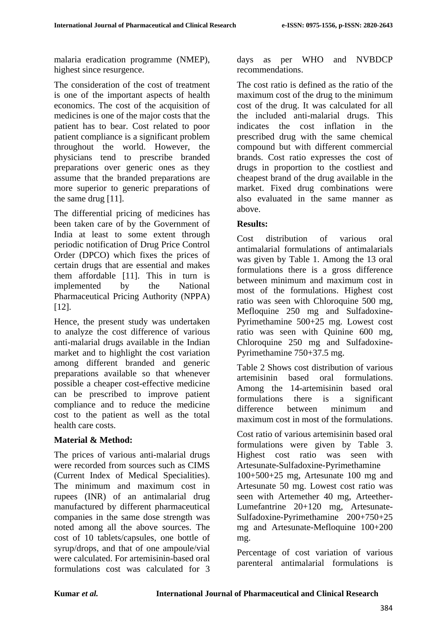malaria eradication programme (NMEP), highest since resurgence.

The consideration of the cost of treatment is one of the important aspects of health economics. The cost of the acquisition of medicines is one of the major costs that the patient has to bear. Cost related to poor patient compliance is a significant problem throughout the world. However, the physicians tend to prescribe branded preparations over generic ones as they assume that the branded preparations are more superior to generic preparations of the same drug [11].

The differential pricing of medicines has been taken care of by the Government of India at least to some extent through periodic notification of Drug Price Control Order (DPCO) which fixes the prices of certain drugs that are essential and makes them affordable [11]. This in turn is implemented by the National Pharmaceutical Pricing Authority (NPPA) [12].

Hence, the present study was undertaken to analyze the cost difference of various anti-malarial drugs available in the Indian market and to highlight the cost variation among different branded and generic preparations available so that whenever possible a cheaper cost-effective medicine can be prescribed to improve patient compliance and to reduce the medicine cost to the patient as well as the total health care costs.

#### **Material & Method:**

The prices of various anti-malarial drugs were recorded from sources such as CIMS (Current Index of Medical Specialities). The minimum and maximum cost in rupees (INR) of an antimalarial drug manufactured by different pharmaceutical companies in the same dose strength was noted among all the above sources. The cost of 10 tablets/capsules, one bottle of syrup/drops, and that of one ampoule/vial were calculated. For artemisinin-based oral formulations cost was calculated for 3

days as per WHO and NVBDCP recommendations.

The cost ratio is defined as the ratio of the maximum cost of the drug to the minimum cost of the drug. It was calculated for all the included anti-malarial drugs. This indicates the cost inflation in the prescribed drug with the same chemical compound but with different commercial brands. Cost ratio expresses the cost of drugs in proportion to the costliest and cheapest brand of the drug available in the market. Fixed drug combinations were also evaluated in the same manner as above.

#### **Results:**

Cost distribution of various oral antimalarial formulations of antimalarials was given by Table 1. Among the 13 oral formulations there is a gross difference between minimum and maximum cost in most of the formulations. Highest cost ratio was seen with Chloroquine 500 mg, Mefloquine 250 mg and Sulfadoxine-Pyrimethamine 500+25 mg. Lowest cost ratio was seen with Quinine 600 mg, Chloroquine 250 mg and Sulfadoxine-Pyrimethamine 750+37.5 mg.

Table 2 Shows cost distribution of various artemisinin based oral formulations. Among the 14-artemisinin based oral formulations there is a significant difference between minimum and maximum cost in most of the formulations.

Cost ratio of various artemisinin based oral formulations were given by Table 3. Highest cost ratio was seen with Artesunate-Sulfadoxine-Pyrimethamine 100+500+25 mg, Artesunate 100 mg and Artesunate 50 mg. Lowest cost ratio was seen with Artemether 40 mg, Arteether-Lumefantrine 20+120 mg, Artesunate-Sulfadoxine-Pyrimethamine 200+750+25 mg and Artesunate-Mefloquine 100+200 mg.

Percentage of cost variation of various parenteral antimalarial formulations is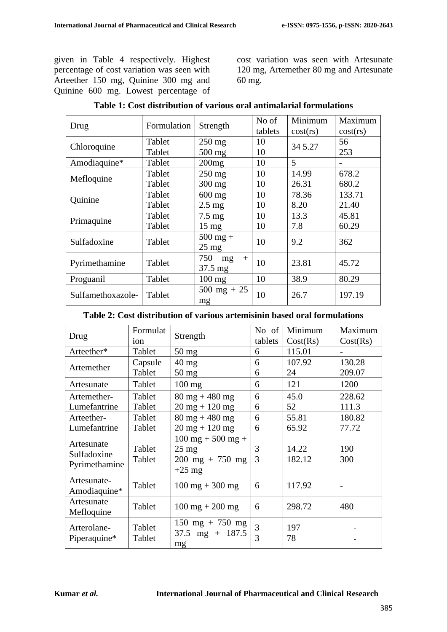given in Table 4 respectively. Highest percentage of cost variation was seen with Arteether 150 mg, Quinine 300 mg and Quinine 600 mg. Lowest percentage of cost variation was seen with Artesunate 120 mg, Artemether 80 mg and Artesunate 60 mg.

| Drug              | Formulation | Strength              | No of<br>tablets | Minimum<br>cost(rs) | Maximum<br>cost(rs) |
|-------------------|-------------|-----------------------|------------------|---------------------|---------------------|
| Chloroquine       | Tablet      | $250$ mg              | 10               | 34 5.27             | 56                  |
|                   | Tablet      | 500 mg                | 10               |                     | 253                 |
| Amodiaquine*      | Tablet      | 200mg                 | 10               | 5                   |                     |
| Mefloquine        | Tablet      | $250$ mg              | 10               | 14.99               | 678.2               |
|                   | Tablet      | $300$ mg              | 10               | 26.31               | 680.2               |
| Quinine           | Tablet      | $600$ mg              | 10               | 78.36               | 133.71              |
|                   | Tablet      | $2.5 \text{ mg}$      | 10               | 8.20                | 21.40               |
| Primaquine        | Tablet      | $7.5 \text{ mg}$      | 10               | 13.3                | 45.81               |
|                   | Tablet      | $15 \text{ mg}$       | 10               | 7.8                 | 60.29               |
| Sulfadoxine       | Tablet      | $500$ mg +            | 10               | 9.2                 | 362                 |
|                   |             | $25 \text{ mg}$       |                  |                     |                     |
| Pyrimethamine     | Tablet      | 750<br>mg<br>$^{+}$   | 10               | 23.81               | 45.72               |
|                   |             | $37.5 \text{ mg}$     |                  |                     |                     |
| Proguanil         | Tablet      | $100$ mg              | 10               | 38.9                | 80.29               |
| Sulfamethoxazole- | Tablet      | $500 \text{ mg} + 25$ | 10               | 26.7                | 197.19              |
|                   |             | mg                    |                  |                     |                     |

#### **Table 2: Cost distribution of various artemisinin based oral formulations**

| Drug                                       | Formulat<br>ion  | Strength                                                                                                | No of<br>tablets    | Minimum<br>Cost(Rs) | Maximum<br>Cost(Rs) |
|--------------------------------------------|------------------|---------------------------------------------------------------------------------------------------------|---------------------|---------------------|---------------------|
| Arteether*                                 | Tablet           | $50 \text{ mg}$                                                                                         | 6                   | 115.01              |                     |
| Artemether                                 | Capsule          | $40 \text{ mg}$                                                                                         | 6                   | 107.92              | 130.28              |
|                                            | Tablet           | $50 \text{ mg}$                                                                                         | 6                   | 24                  | 209.07              |
| Artesunate                                 | Tablet           | $100$ mg                                                                                                | 6                   | 121                 | 1200                |
| Artemether-                                | Tablet           | $80 \text{ mg} + 480 \text{ mg}$                                                                        | 6                   | 45.0                | 228.62              |
| Lumefantrine                               | Tablet           | $20$ mg + 120 mg                                                                                        | 6                   | 52                  | 111.3               |
| Arteether-                                 | Tablet           | $80 \text{ mg} + 480 \text{ mg}$                                                                        | 6                   | 55.81               | 180.82              |
| Lumefantrine                               | Tablet           | $20 \text{ mg} + 120 \text{ mg}$                                                                        | 6                   | 65.92               | 77.72               |
| Artesunate<br>Sulfadoxine<br>Pyrimethamine | Tablet<br>Tablet | $100 \text{ mg} + 500 \text{ mg} +$<br>$25 \text{ mg}$<br>$200 \text{ mg} + 750 \text{ mg}$<br>$+25$ mg | 3<br>3              | 14.22<br>182.12     | 190<br>300          |
| Artesunate-<br>Amodiaquine*                | Tablet           | $100 \text{ mg} + 300 \text{ mg}$                                                                       | 6                   | 117.92              |                     |
| Artesunate<br>Mefloquine                   | Tablet           | $100 \text{ mg} + 200 \text{ mg}$                                                                       | 6                   | 298.72              | 480                 |
| Arterolane-<br>Piperaquine*                | Tablet<br>Tablet | $150 \text{ mg} + 750 \text{ mg}$<br>$37.5 \text{ mg} + 187.5$<br>mg                                    | $\overline{3}$<br>3 | 197<br>78           |                     |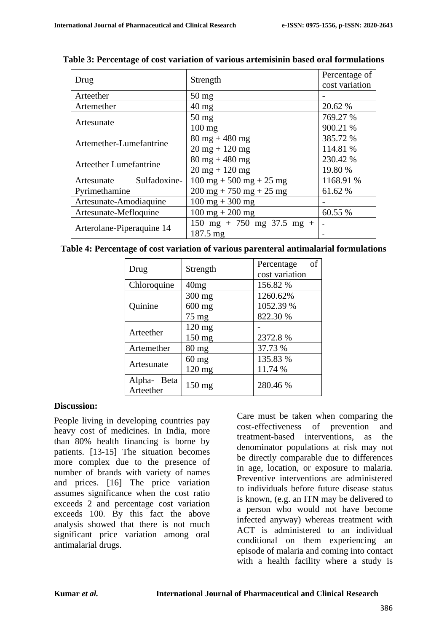| Drug                          | Strength                                             | Percentage of<br>cost variation |
|-------------------------------|------------------------------------------------------|---------------------------------|
| Arteether                     | $50 \text{ mg}$                                      |                                 |
| Artemether                    | $40 \text{ mg}$                                      | 20.62 %                         |
|                               | $50$ mg                                              | 769.27 %                        |
| Artesunate                    | $100 \text{ mg}$                                     | 900.21 %                        |
| Artemether-Lumefantrine       | $80 \text{ mg} + 480 \text{ mg}$                     | 385.72 %                        |
|                               | $20 \text{ mg} + 120 \text{ mg}$                     | 114.81 %                        |
| <b>Arteether Lumefantrine</b> | $80 \text{ mg} + 480 \text{ mg}$                     | 230.42 %                        |
|                               | $20 \text{ mg} + 120 \text{ mg}$                     | 19.80 %                         |
| Sulfadoxine-<br>Artesunate    | $100 \text{ mg} + 500 \text{ mg} + 25 \text{ mg}$    | 1168.91 %                       |
| Pyrimethamine                 | $200 \text{ mg} + 750 \text{ mg} + 25 \text{ mg}$    | 61.62 %                         |
| Artesunate-Amodiaquine        | $100 \text{ mg} + 300 \text{ mg}$                    |                                 |
| Artesunate-Mefloquine         | $100 \text{ mg} + 200 \text{ mg}$                    | 60.55 %                         |
|                               | $150 \text{ mg} + 750 \text{ mg } 37.5 \text{ mg} +$ |                                 |
| Arterolane-Piperaquine 14     | 187.5 mg                                             |                                 |

**Table 3: Percentage of cost variation of various artemisinin based oral formulations**

| Table 4: Percentage of cost variation of various parenteral antimalarial formulations |  |  |  |
|---------------------------------------------------------------------------------------|--|--|--|
|---------------------------------------------------------------------------------------|--|--|--|

| Drug                     | Strength         | of<br>Percentage<br>cost variation |  |  |
|--------------------------|------------------|------------------------------------|--|--|
| Chloroquine              | 40mg             | 156.82 %                           |  |  |
| Quinine                  | 300 mg           | 1260.62%                           |  |  |
|                          | $600$ mg         | 1052.39 %                          |  |  |
|                          | $75 \text{ mg}$  | 822.30 %                           |  |  |
| Arteether                | 120 mg           |                                    |  |  |
|                          | 150 mg           | 2372.8%                            |  |  |
| Artemether               | $80 \text{ mg}$  | 37.73 %                            |  |  |
| Artesunate               | $60$ mg          | 135.83 %                           |  |  |
|                          | $120$ mg         | 11.74 %                            |  |  |
| Alpha- Beta<br>Arteether | $150 \text{ mg}$ | 280.46 %                           |  |  |

#### **Discussion:**

People living in developing countries pay heavy cost of medicines. In India, more than 80% health financing is borne by patients. [13-15] The situation becomes more complex due to the presence of number of brands with variety of names and prices. [16] The price variation assumes significance when the cost ratio exceeds 2 and percentage cost variation exceeds 100. By this fact the above analysis showed that there is not much significant price variation among oral antimalarial drugs.

Care must be taken when comparing the cost-effectiveness of prevention and treatment-based interventions, as the denominator populations at risk may not be directly comparable due to differences in age, location, or exposure to malaria. Preventive interventions are administered to individuals before future disease status is known, (e.g. an ITN may be delivered to a person who would not have become infected anyway) whereas treatment with ACT is administered to an individual conditional on them experiencing an episode of malaria and coming into contact with a health facility where a study is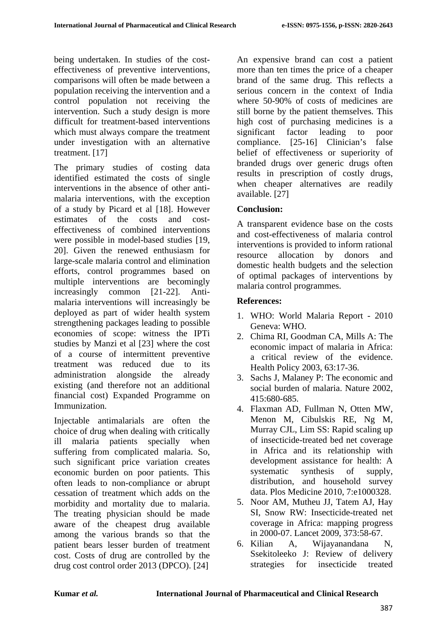being undertaken. In studies of the costeffectiveness of preventive interventions, comparisons will often be made between a population receiving the intervention and a control population not receiving the intervention. Such a study design is more difficult for treatment-based interventions which must always compare the treatment under investigation with an alternative treatment. [17]

The primary studies of costing data identified estimated the costs of single interventions in the absence of other antimalaria interventions, with the exception of a study by Picard et al [18]. However estimates of the costs and costeffectiveness of combined interventions were possible in model-based studies [19, 20]. Given the renewed enthusiasm for large-scale malaria control and elimination efforts, control programmes based on multiple interventions are becomingly increasingly common [21-22]. Antimalaria interventions will increasingly be deployed as part of wider health system strengthening packages leading to possible economies of scope: witness the IPTi studies by Manzi et al [23] where the cost of a course of intermittent preventive treatment was reduced due to its administration alongside the already existing (and therefore not an additional financial cost) Expanded Programme on Immunization.

Injectable antimalarials are often the choice of drug when dealing with critically ill malaria patients specially when suffering from complicated malaria. So, such significant price variation creates economic burden on poor patients. This often leads to non-compliance or abrupt cessation of treatment which adds on the morbidity and mortality due to malaria. The treating physician should be made aware of the cheapest drug available among the various brands so that the patient bears lesser burden of treatment cost. Costs of drug are controlled by the drug cost control order 2013 (DPCO). [24]

An expensive brand can cost a patient more than ten times the price of a cheaper brand of the same drug. This reflects a serious concern in the context of India where 50-90% of costs of medicines are still borne by the patient themselves. This high cost of purchasing medicines is a significant factor leading to poor compliance. [25-16] Clinician's false belief of effectiveness or superiority of branded drugs over generic drugs often results in prescription of costly drugs, when cheaper alternatives are readily available. [27]

## **Conclusion:**

A transparent evidence base on the costs and cost-effectiveness of malaria control interventions is provided to inform rational resource allocation by donors and domestic health budgets and the selection of optimal packages of interventions by malaria control programmes.

### **References:**

- 1. WHO: World Malaria Report 2010 Geneva: WHO.
- 2. Chima RI, Goodman CA, Mills A: The economic impact of malaria in Africa: a critical review of the evidence. Health Policy 2003, 63:17-36.
- 3. Sachs J, Malaney P: The economic and social burden of malaria. Nature 2002, 415:680-685.
- 4. Flaxman AD, Fullman N, Otten MW, Menon M, Cibulskis RE, Ng M, Murray CJL, Lim SS: Rapid scaling up of insecticide-treated bed net coverage in Africa and its relationship with development assistance for health: A systematic synthesis of supply, distribution, and household survey data. Plos Medicine 2010, 7:e1000328.
- 5. Noor AM, Mutheu JJ, Tatem AJ, Hay SI, Snow RW: Insecticide-treated net coverage in Africa: mapping progress in 2000-07. Lancet 2009, 373:58-67.
- 6. Kilian A, Wijayanandana N, Ssekitoleeko J: Review of delivery strategies for insecticide treated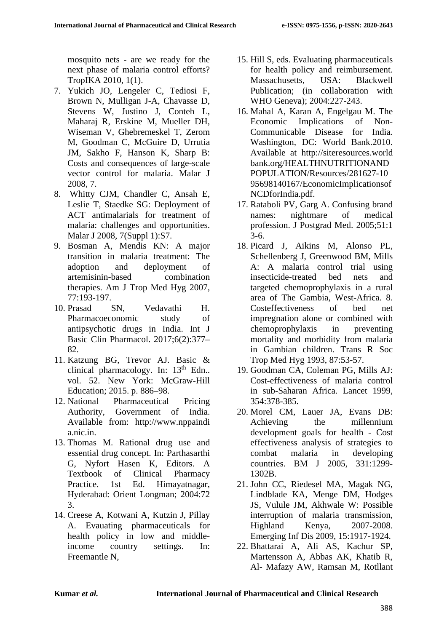mosquito nets - are we ready for the next phase of malaria control efforts? TropIKA 2010, 1(1).

- 7. Yukich JO, Lengeler C, Tediosi F, Brown N, Mulligan J-A, Chavasse D, Stevens W, Justino J, Conteh L, Maharaj R, Erskine M, Mueller DH, Wiseman V, Ghebremeskel T, Zerom M, Goodman C, McGuire D, Urrutia JM, Sakho F, Hanson K, Sharp B: Costs and consequences of large-scale vector control for malaria. Malar J 2008, 7.
- 8. Whitty CJM, Chandler C, Ansah E, Leslie T, Staedke SG: Deployment of ACT antimalarials for treatment of malaria: challenges and opportunities. Malar J 2008, 7(Suppl 1):S7.
- 9. Bosman A, Mendis KN: A major transition in malaria treatment: The adoption and deployment of artemisinin-based combination therapies. Am J Trop Med Hyg 2007, 77:193-197.
- 10. Prasad SN, Vedavathi H. Pharmacoeconomic study of antipsychotic drugs in India. Int J Basic Clin Pharmacol. 2017;6(2):377– 82.
- 11. Katzung BG, Trevor AJ. Basic & clinical pharmacology. In:  $13<sup>th</sup>$  Edn.. vol. 52. New York: McGraw-Hill Education; 2015. p. 886–98.
- 12. National Pharmaceutical Pricing Authority, Government of India. Available from: http://www.nppaindi a.nic.in.
- 13. Thomas M. Rational drug use and essential drug concept. In: Parthasarthi G, Nyfort Hasen K, Editors. A Textbook of Clinical Pharmacy Practice. 1st Ed. Himayatnagar, Hyderabad: Orient Longman; 2004:72 3.
- 14. Creese A, Kotwani A, Kutzin J, Pillay A. Evauating pharmaceuticals for health policy in low and middleincome country settings. In: Freemantle N,
- 15. Hill S, eds. Evaluating pharmaceuticals for health policy and reimbursement. Massachusetts, USA: Blackwell Publication; (in collaboration with WHO Geneva); 2004:227-243.
- 16. Mahal A, Karan A, Engelgau M. The Economic Implications of Non-Communicable Disease for India. Washington, DC: World Bank.2010. Available at http://siteresources.world bank.org/HEALTHNUTRITIONAND POPULATION/Resources/281627-10 95698140167/EconomicImplicationsof NCDforIndia.pdf.
- 17. Rataboli PV, Garg A. Confusing brand names: nightmare of medical profession. J Postgrad Med. 2005;51:1 3-6.
- 18. Picard J, Aikins M, Alonso PL, Schellenberg J, Greenwood BM, Mills A: A malaria control trial using insecticide-treated bed nets and targeted chemoprophylaxis in a rural area of The Gambia, West-Africa. 8. Costeffectiveness of bed net impregnation alone or combined with chemoprophylaxis in preventing mortality and morbidity from malaria in Gambian children. Trans R Soc Trop Med Hyg 1993, 87:53-57.
- 19. Goodman CA, Coleman PG, Mills AJ: Cost-effectiveness of malaria control in sub-Saharan Africa. Lancet 1999, 354:378-385.
- 20. Morel CM, Lauer JA, Evans DB: Achieving the millennium development goals for health - Cost effectiveness analysis of strategies to combat malaria in developing countries. BM J 2005, 331:1299- 1302B.
- 21. John CC, Riedesel MA, Magak NG, Lindblade KA, Menge DM, Hodges JS, Vulule JM, Akhwale W: Possible interruption of malaria transmission, Highland Kenya, 2007-2008. Emerging Inf Dis 2009, 15:1917-1924.
- 22. Bhattarai A, Ali AS, Kachur SP, Martensson A, Abbas AK, Khatib R, Al- Mafazy AW, Ramsan M, Rotllant